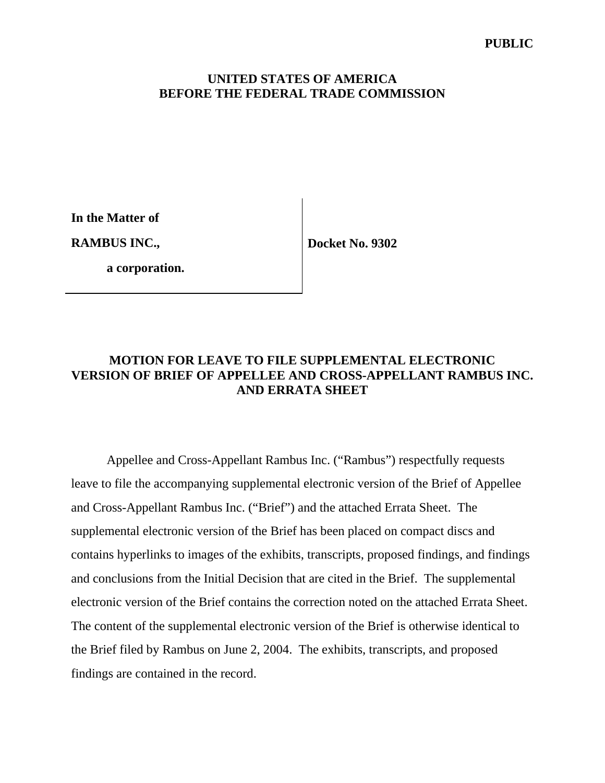**In the Matter of** 

**RAMBUS INC.,** 

**Docket No. 9302** 

 **a corporation.**

## **MOTION FOR LEAVE TO FILE SUPPLEMENTAL ELECTRONIC VERSION OF BRIEF OF APPELLEE AND CROSS-APPELLANT RAMBUS INC. AND ERRATA SHEET**

Appellee and Cross-Appellant Rambus Inc. ("Rambus") respectfully requests leave to file the accompanying supplemental electronic version of the Brief of Appellee and Cross-Appellant Rambus Inc. ("Brief") and the attached Errata Sheet. The supplemental electronic version of the Brief has been placed on compact discs and contains hyperlinks to images of the exhibits, transcripts, proposed findings, and findings and conclusions from the Initial Decision that are cited in the Brief. The supplemental electronic version of the Brief contains the correction noted on the attached Errata Sheet. The content of the supplemental electronic version of the Brief is otherwise identical to the Brief filed by Rambus on June 2, 2004. The exhibits, transcripts, and proposed findings are contained in the record.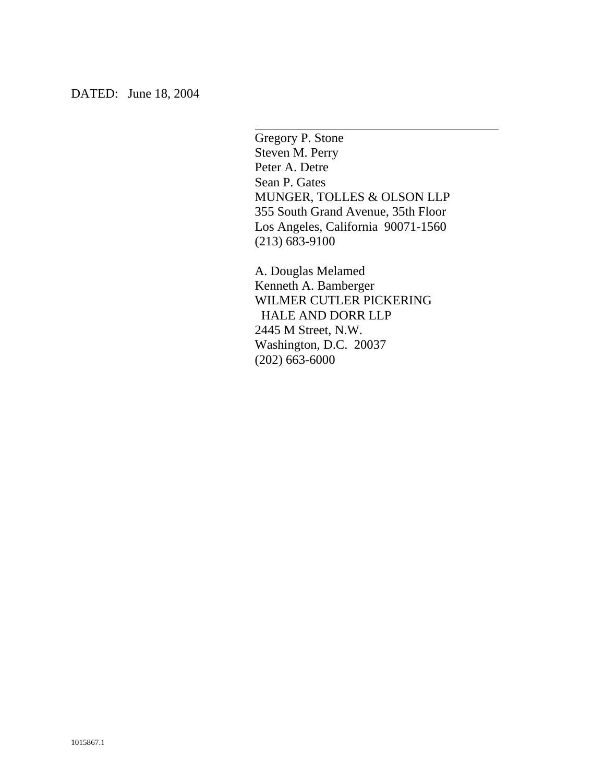Gregory P. Stone Steven M. Perry Peter A. Detre Sean P. Gates MUNGER, TOLLES & OLSON LLP 355 South Grand Avenue, 35th Floor Los Angeles, California 90071-1560 (213) 683-9100

 $\overline{a}$ 

A. Douglas Melamed Kenneth A. Bamberger WILMER CUTLER PICKERING HALE AND DORR LLP 2445 M Street, N.W. Washington, D.C. 20037 (202) 663-6000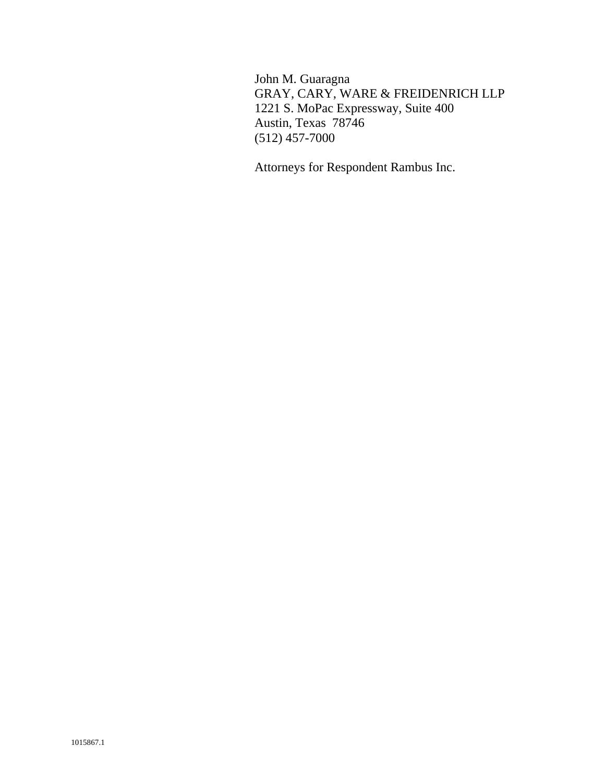John M. Guaragna GRAY, CARY, WARE & FREIDENRICH LLP 1221 S. MoPac Expressway, Suite 400 Austin, Texas 78746 (512) 457-7000

Attorneys for Respondent Rambus Inc.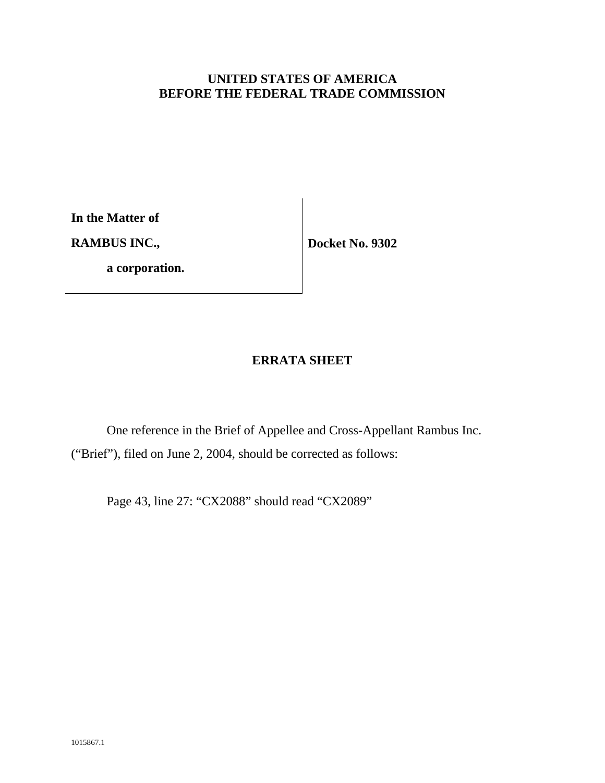**In the Matter of** 

**RAMBUS INC.,** 

 **a corporation.**

**Docket No. 9302** 

## **ERRATA SHEET**

One reference in the Brief of Appellee and Cross-Appellant Rambus Inc. ("Brief"), filed on June 2, 2004, should be corrected as follows:

Page 43, line 27: "CX2088" should read "CX2089"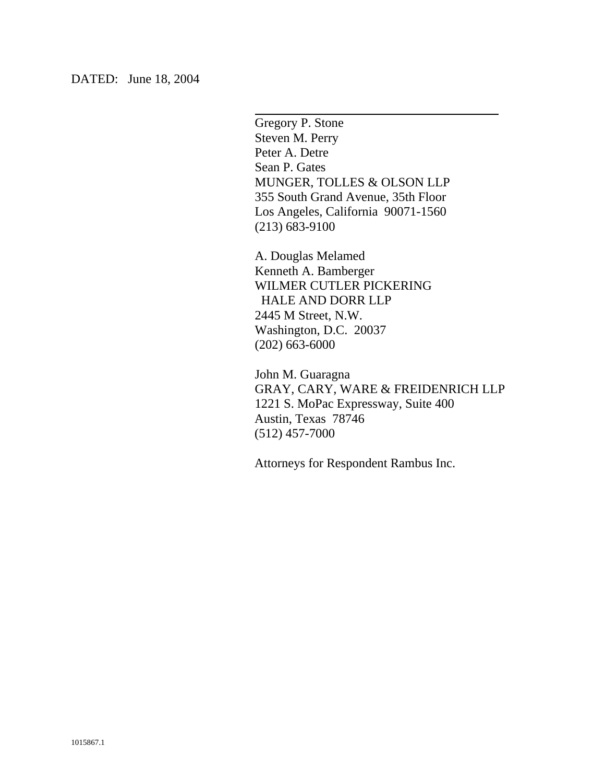Gregory P. Stone Steven M. Perry Peter A. Detre Sean P. Gates MUNGER, TOLLES & OLSON LLP 355 South Grand Avenue, 35th Floor Los Angeles, California 90071-1560 (213) 683-9100

 $\overline{a}$ 

A. Douglas Melamed Kenneth A. Bamberger WILMER CUTLER PICKERING HALE AND DORR LLP 2445 M Street, N.W. Washington, D.C. 20037 (202) 663-6000

John M. Guaragna GRAY, CARY, WARE & FREIDENRICH LLP 1221 S. MoPac Expressway, Suite 400 Austin, Texas 78746 (512) 457-7000

Attorneys for Respondent Rambus Inc.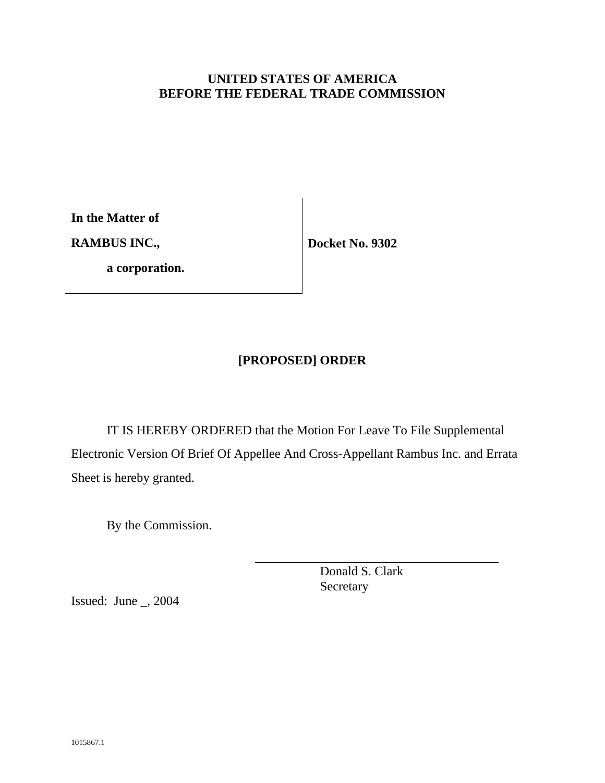**In the Matter of** 

**RAMBUS INC.,** 

 **a corporation.**

**Docket No. 9302** 

# **[PROPOSED] ORDER**

IT IS HEREBY ORDERED that the Motion For Leave To File Supplemental Electronic Version Of Brief Of Appellee And Cross-Appellant Rambus Inc. and Errata Sheet is hereby granted.

 $\overline{a}$ 

By the Commission.

 Donald S. Clark Secretary

Issued: June \_, 2004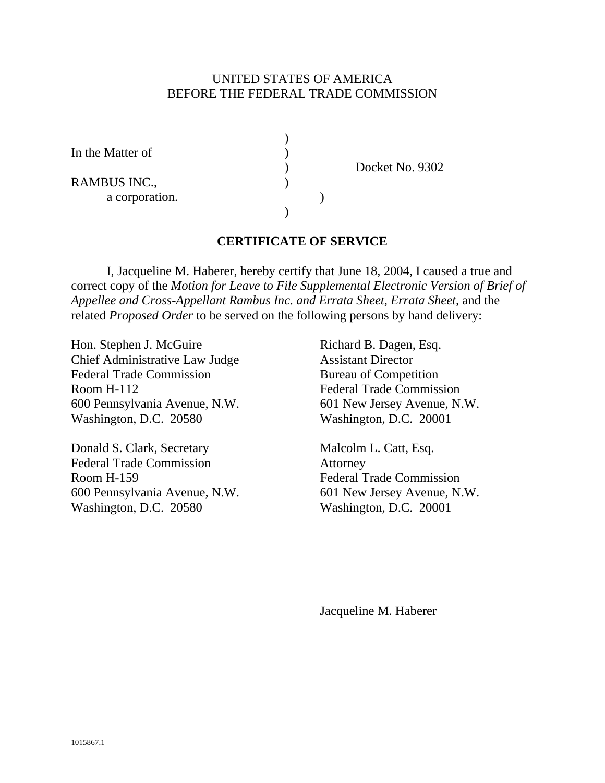In the Matter of

 $\overline{a}$ 

RAMBUS INC., a corporation. )

 $\overline{\phantom{a}}$ 

) Docket No. 9302

## **CERTIFICATE OF SERVICE**

 I, Jacqueline M. Haberer, hereby certify that June 18, 2004, I caused a true and correct copy of the *Motion for Leave to File Supplemental Electronic Version of Brief of Appellee and Cross-Appellant Rambus Inc. and Errata Sheet, Errata Sheet,* and the related *Proposed Order* to be served on the following persons by hand delivery:

Hon. Stephen J. McGuire Richard B. Dagen, Esq. Chief Administrative Law Judge Assistant Director Federal Trade Commission Bureau of Competition Room H-112 Federal Trade Commission 600 Pennsylvania Avenue, N.W. 601 New Jersey Avenue, N.W. Washington, D.C. 20580 Washington, D.C. 20001

Donald S. Clark, Secretary Malcolm L. Catt, Esq. Federal Trade Commission Attorney Room H-159 Federal Trade Commission 600 Pennsylvania Avenue, N.W. 601 New Jersey Avenue, N.W. Washington, D.C. 20580 Washington, D.C. 20001

Jacqueline M. Haberer